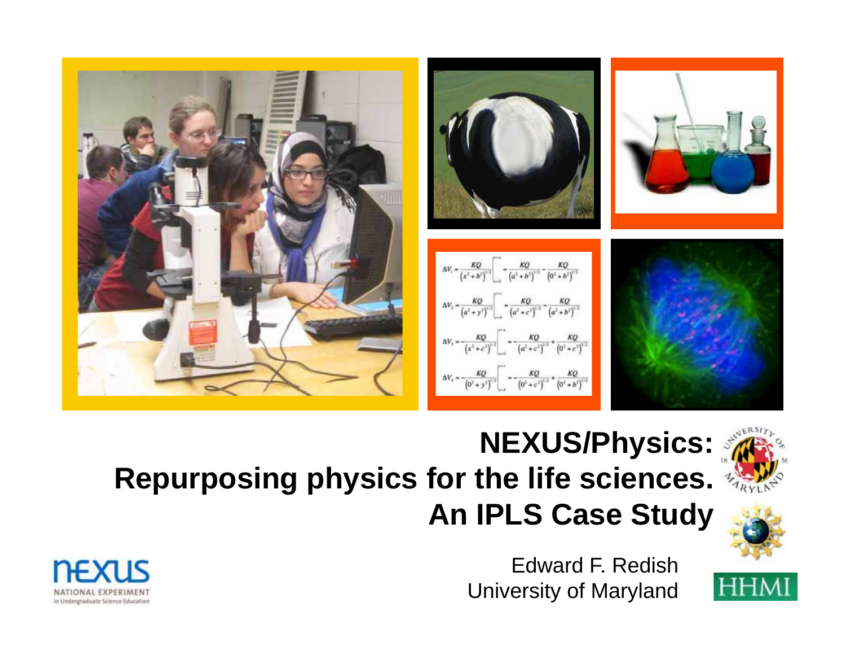



#### **NEXUS/Physics: Repurposing physics for the life sciences. An IPLS Case Study**





**HHMI** 

Edward F. Redish University of Maryland

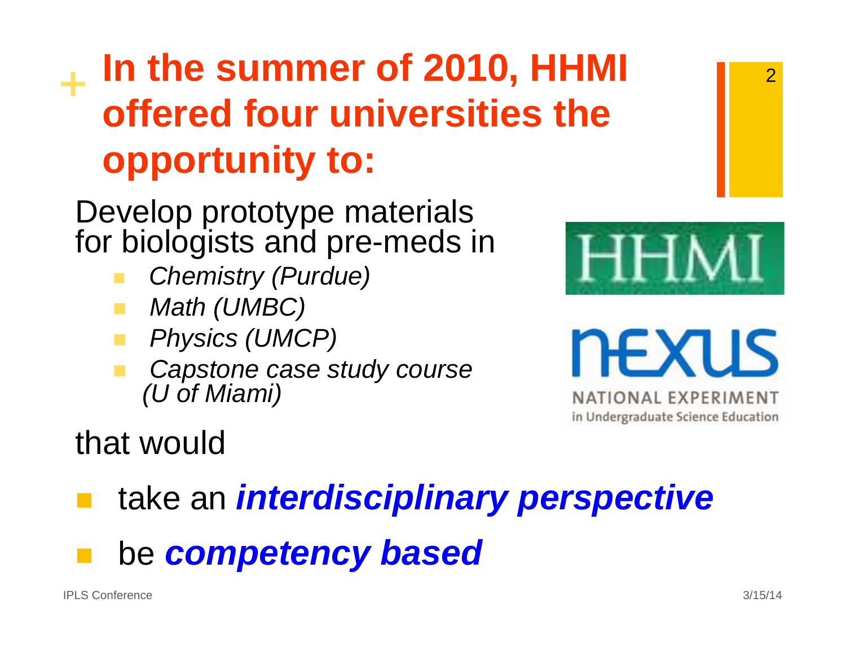#### **+ In the summer of 2010, HHMI offered four universities the opportunity to:**

Develop prototype materials for biologists and pre-meds in

- *Chemistry (Purdue)*
- *Math (UMBC)*
- *Physics (UMCP)*
- *Capstone case study course (U of Miami)*





NATIONAL EXPERIMENT in Undergraduate Science Education

#### that would

take an *interdisciplinary perspective* 

be *competency based*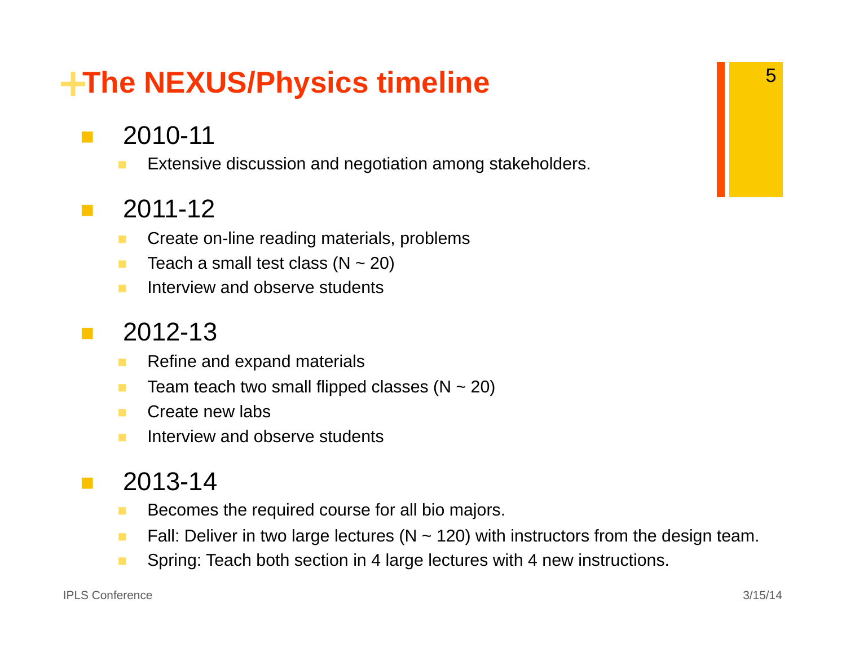#### **<sup>+</sup>The NEXUS/Physics timeline**

- $\mathcal{L}^{\mathcal{L}}$  2010-11
	- $\blacksquare$ Extensive discussion and negotiation among stakeholders.

#### **Ta** 2011-12

- п Create on-line reading materials, problems
- п Teach a small test class ( $N \sim 20$ )
- $\blacksquare$ Interview and observe students

#### **The State** 2012-13

- $\blacksquare$ Refine and expand materials
- $\blacksquare$ Team teach two small flipped classes ( $N \sim 20$ )
- п Create new labs
- $\blacksquare$ Interview and observe students

#### $\mathcal{L}_{\mathrm{max}}$ 2013-14

- П Becomes the required course for all bio majors.
- ٠ Fall: Deliver in two large lectures ( $N \sim 120$ ) with instructors from the design team.
- $\mathcal{L}_{\mathcal{A}}$ Spring: Teach both section in 4 large lectures with 4 new instructions.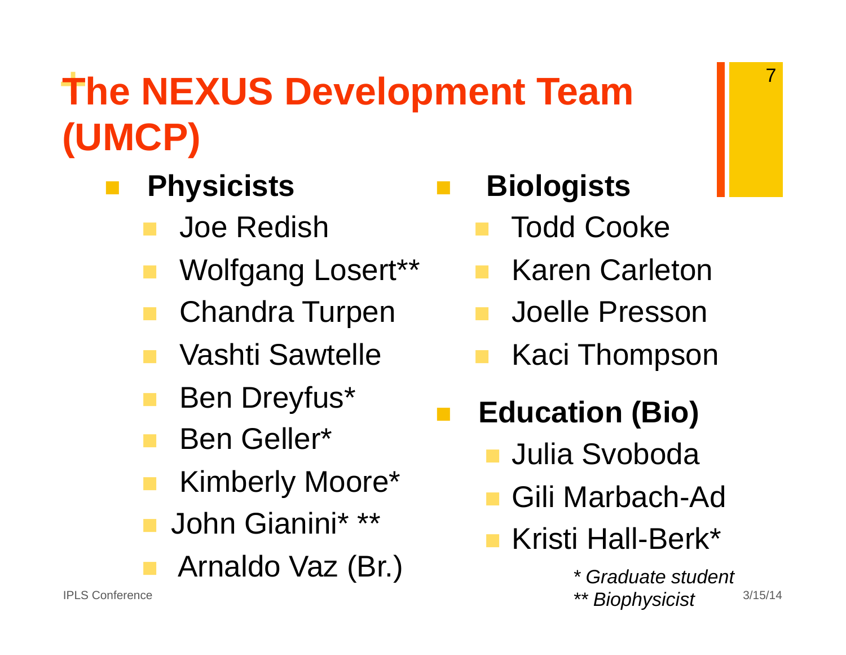#### **<sup>+</sup>The NEXUS Development Team (UMCP)**

- **Physicists** 
	- Joe Redish
	- Wolfgang Losert\*\*
	- Chandra Turpen
	- Vashti Sawtelle
	- Ben Dreyfus\*
	- Ben Geller\*
	- Kimberly Moore\*
	- John Gianini\* \*\*
	- Arnaldo Vaz (Br.)

**Biologists** 

- Todd Cooke
- Karen Carleton
- Joelle Presson
- Kaci Thompson
- **Education (Bio)** 
	- Julia Svoboda
	- Gili Marbach-Ad
	- Kristi Hall-Berk\*

IPLS Conference 3/15/14 *\*\* Biophysicist \* Graduate student*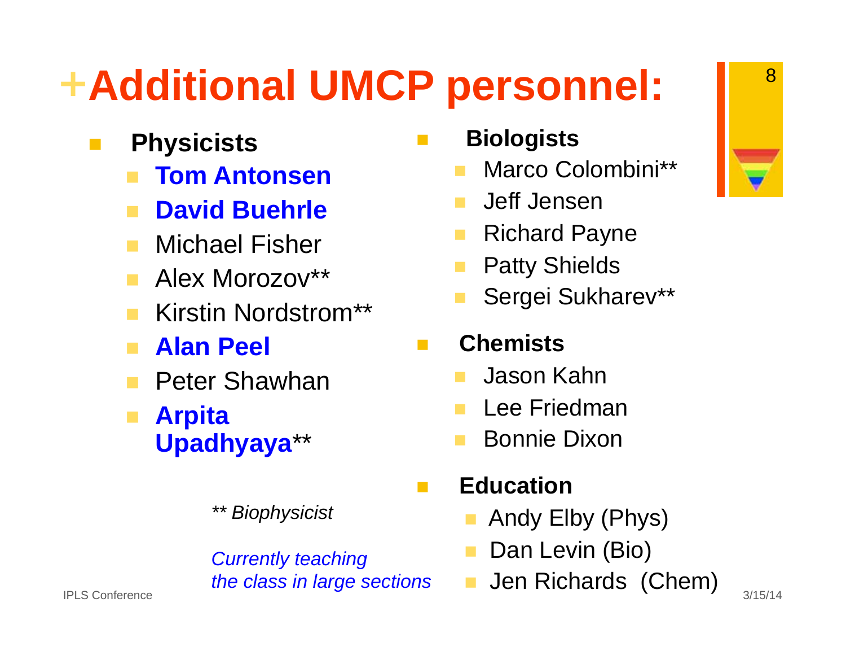### **<sup>+</sup>Additional UMCP personnel:**

**Physicists** 

 $\mathcal{L}_{\mathcal{A}}$ 

- $\mathbf{r}$ **Tom Antonsen**
- David Buehrle
- $\mathcal{L}(\mathcal{A})$ Michael Fisher
- **Alex Morozov\*\***
- $\mathcal{L}_{\mathcal{A}}$ Kirstin Nordstrom\*\*
- $\mathcal{L}^{\mathcal{L}}$ **Alan Peel**
- **Peter Shawhan**
- and the **Arpita Upadhyaya**\*\*
	- *\*\* Biophysicist*

*Currently teaching the class in large sections* 

- $\mathcal{C}^{\mathcal{A}}$  **Biologists** 
	- Marco Colombini\*\*
	- Jeff Jensen
	- Richard Payne
	- Patty Shields
	- Sergei Sukharev\*\*

#### **Chemists**

- Jason Kahn
- Lee Friedman
- Bonnie Dixon
- **Education**

 $\mathcal{L}(\mathcal{A})$ 

- Andy Elby (Phys)
- Dan Levin (Bio)
- **Jen Richards (Chem)** IPLS Conference 3/15/14

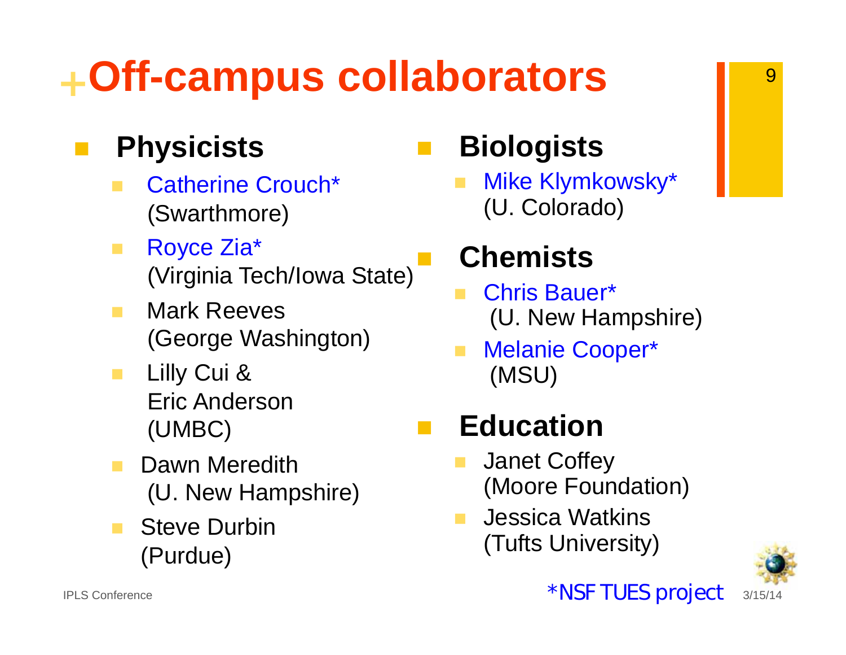### **<sup>+</sup>Off-campus collaborators**

#### **Physicists**

- Catherine Crouch\* (Swarthmore)
- $\mathcal{L}_{\mathcal{A}}$  Royce Zia\* (Virginia Tech/Iowa State)
- **Mark Reeves** (George Washington)
- **Lilly Cui &**  Eric Anderson (UMBC)
- Dawn Meredith (U. New Hampshire)
- Steve Durbin (Purdue)

#### $\mathbb{R}^n$ **Biologists**

 $\overline{\phantom{a}}$  Mike Klymkowsky\* (U. Colorado)

#### **Chemists**

- Chris Bauer\* (U. New Hampshire)
- Melanie Cooper\* (MSU)

#### $\mathcal{L}^{\mathcal{L}}$ **Education**

- Janet Coffey (Moore Foundation)
- Jessica Watkins (Tufts University)

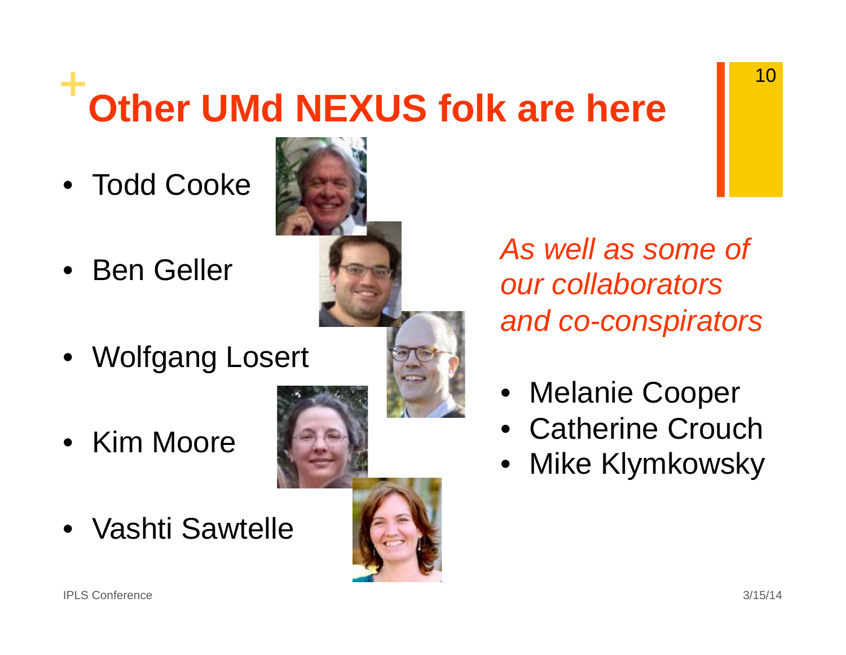### **<sup>+</sup>Other UMd NEXUS folk are here**

- Todd Cooke
- Ben Geller
- Wolfgang Losert
- Kim Moore
- Vashti Sawtelle

*As well as some of our collaborators and co-conspirators* 

- •Melanie Cooper
- Catherine Crouch
- •Mike Klymkowsky



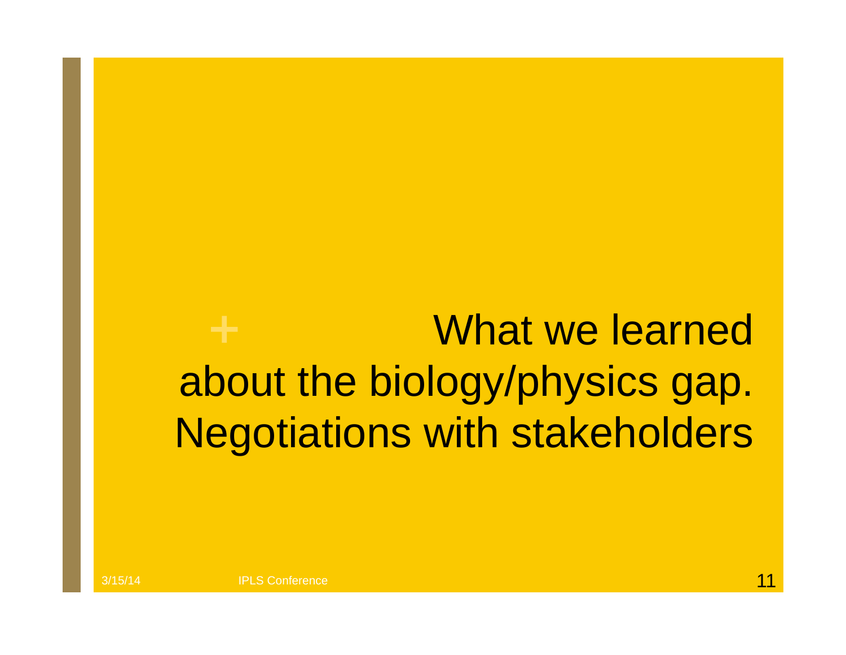What we learned about the biology/physics gap. Negotiations with stakeholders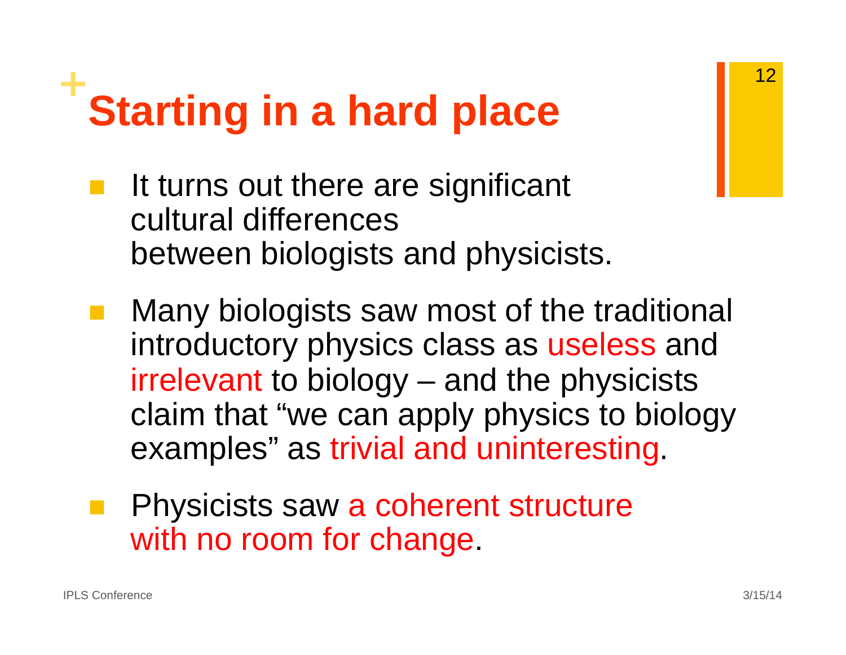# **Starting in a hard place**

- It turns out there are significant cultural differences between biologists and physicists.
- $\mathcal{L}_{\mathcal{A}}$  Many biologists saw most of the traditional introductory physics class as useless and irrelevant to biology – and the physicists claim that "we can apply physics to biology examples" as trivial and uninteresting.
- Physicists saw a coherent structure with no room for change.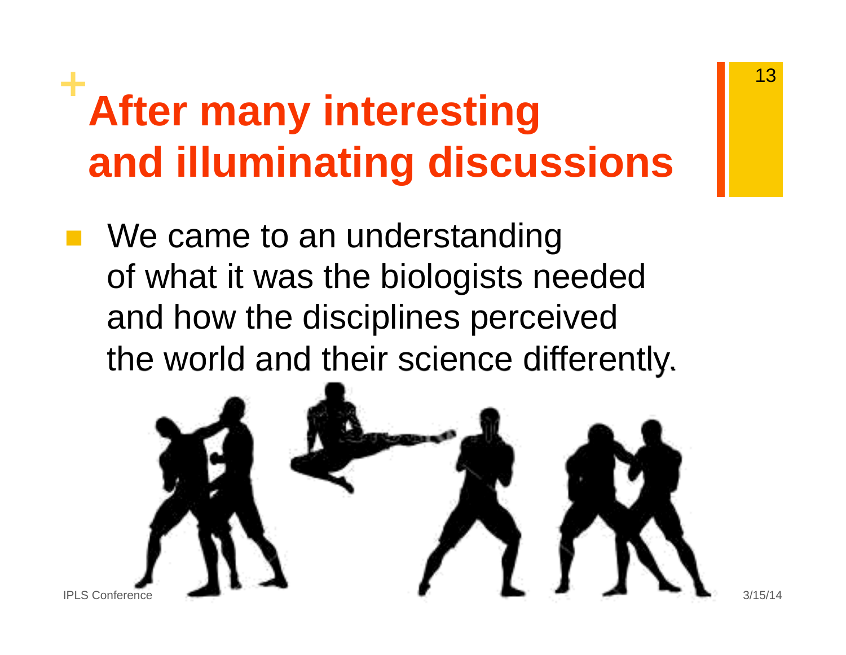### **After many interesting and illuminating discussions**

We came to an understanding of what it was the biologists needed and how the disciplines perceived the world and their science differently.

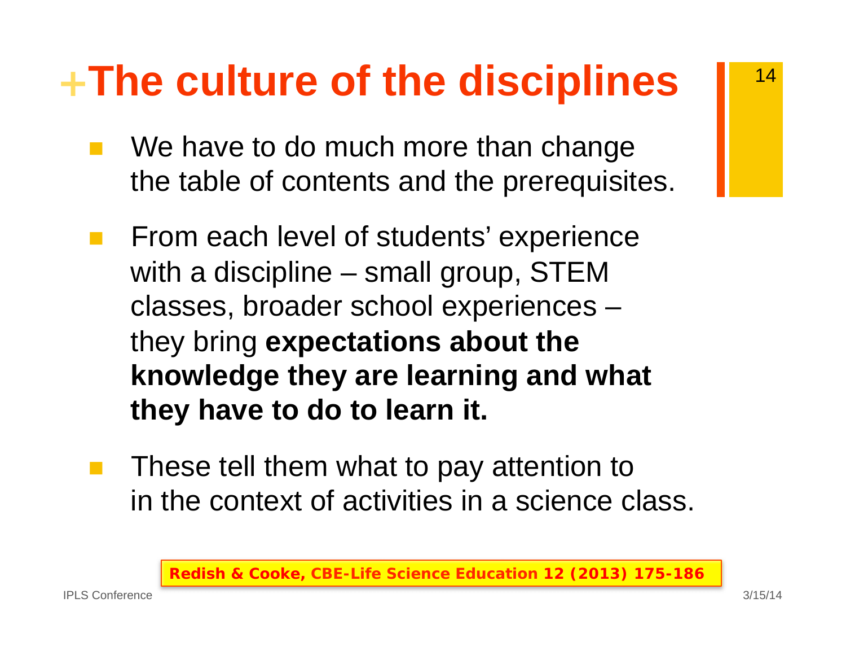### **<sup>+</sup>The culture of the disciplines**

- **Service Service** We have to do much more than change the table of contents and the prerequisites.
- **The Co**  From each level of students' experience with a discipline – small group, STEM classes, broader school experiences – they bring **expectations about the knowledge they are learning and what they have to do to learn it.**
- $\mathcal{L}(\mathcal{A})$  These tell them what to pay attention to in the context of activities in a science class.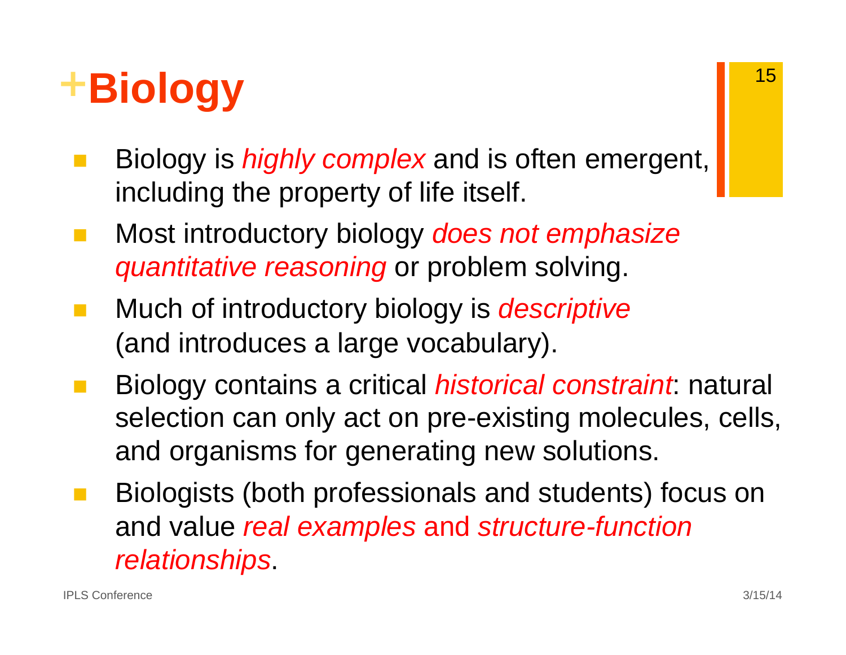### **<sup>+</sup>Biology**

- Biology is *highly complex* and is often emergent, including the property of life itself.
- $\mathcal{L}_{\mathcal{A}}$  Most introductory biology *does not emphasize quantitative reasoning* or problem solving.
- $\mathcal{L}(\mathcal{A})$  Much of introductory biology is *descriptive* (and introduces a large vocabulary).
- Biology contains a critical *historical constraint*: natural selection can only act on pre-existing molecules, cells, and organisms for generating new solutions.
- Biologists (both professionals and students) focus on and value *real examples* and *structure-function relationships*.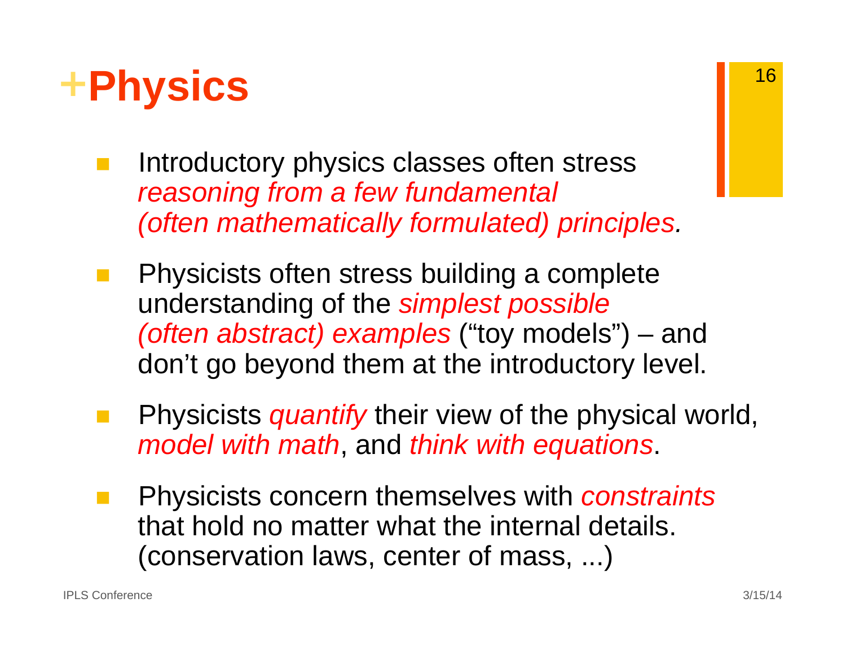- **<sup>+</sup>Physics** 
	- Introductory physics classes often stress *reasoning from a few fundamental (often mathematically formulated) principles.*
	- Physicists often stress building a complete understanding of the *simplest possible (often abstract) examples* ("toy models") – and don't go beyond them at the introductory level.
	- Physicists *quantify* their view of the physical world, *model with math*, and *think with equations*.
	- Physicists concern themselves with *constraints* that hold no matter what the internal details. (conservation laws, center of mass, ...)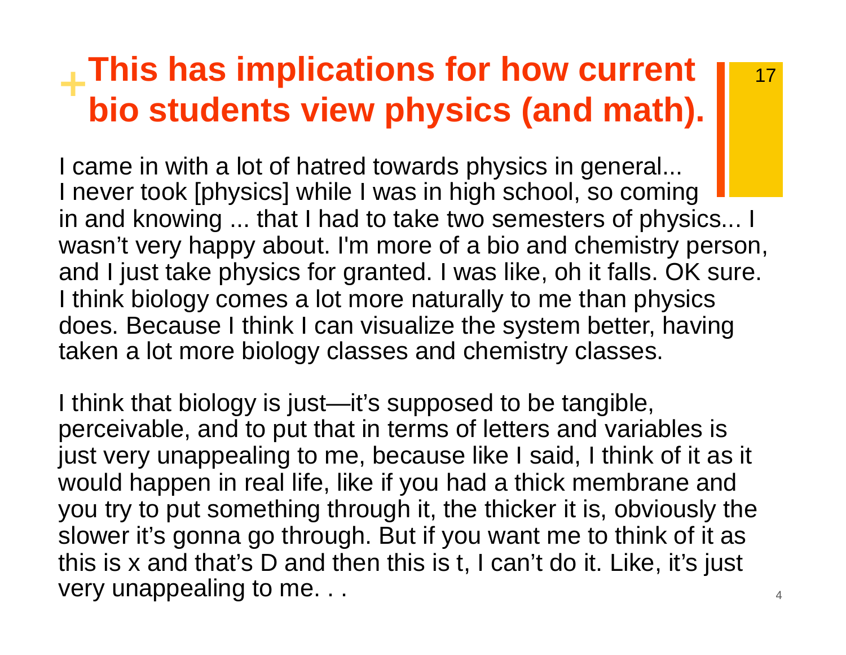#### **<sup>+</sup>This has implications for how current bio students view physics (and math).**

I came in with a lot of hatred towards physics in general... I never took [physics] while I was in high school, so coming in and knowing ... that I had to take two semesters of physics... I wasn't very happy about. I'm more of a bio and chemistry person, and I just take physics for granted. I was like, oh it falls. OK sure. I think biology comes a lot more naturally to me than physics does. Because I think I can visualize the system better, having taken a lot more biology classes and chemistry classes.

very unappealing to me. . .  $\qquad \qquad \text{and} \qquad \qquad \text{and} \qquad \text{and} \qquad \text{and} \qquad \text{and} \qquad \text{and} \qquad \text{and} \qquad \text{and} \qquad \text{and} \qquad \text{and} \qquad \text{and} \qquad \text{and} \qquad \text{and} \qquad \text{and} \qquad \text{and} \qquad \text{and} \qquad \text{and} \qquad \text{and} \qquad \text{and} \qquad \text{and} \qquad \text{and} \qquad \text{and} \qquad \text{and} \q$ I think that biology is just—it's supposed to be tangible, perceivable, and to put that in terms of letters and variables is just very unappealing to me, because like I said, I think of it as it would happen in real life, like if you had a thick membrane and you try to put something through it, the thicker it is, obviously the slower it's gonna go through. But if you want me to think of it as this is x and that's D and then this is t, I can't do it. Like, it's just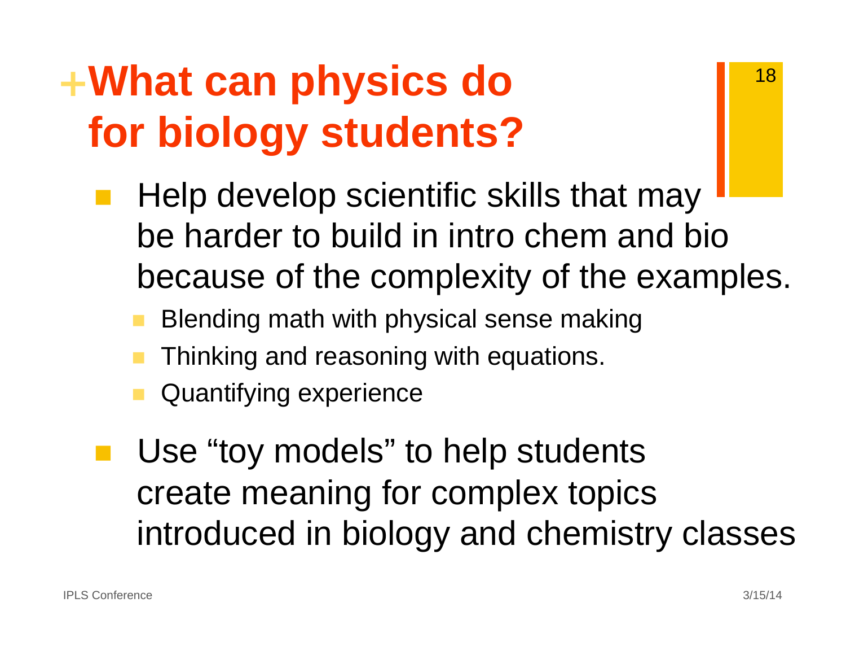### **<sup>+</sup>What can physics do for biology students?**

- Help develop scientific skills that may be harder to build in intro chem and bio because of the complexity of the examples.
	- Blending math with physical sense making
	- Thinking and reasoning with equations.
	- Quantifying experience
- **Use "toy models" to help students** create meaning for complex topics introduced in biology and chemistry classes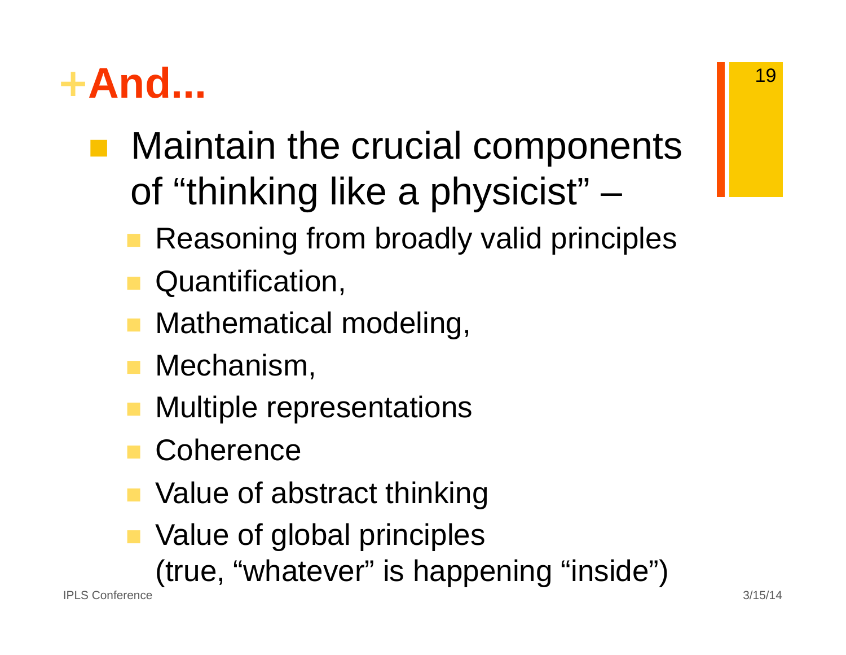### **<sup>+</sup>And...**

- Maintain the crucial components of "thinking like a physicist" –
	- Reasoning from broadly valid principles
	- **Quantification,**
	- **Mathematical modeling,**
	- **Mechanism,**
	- Multiple representations
	- **Coherence**
	- Value of abstract thinking
	- **No. Value of global principles** 
		- (true, "whatever" is happening "inside")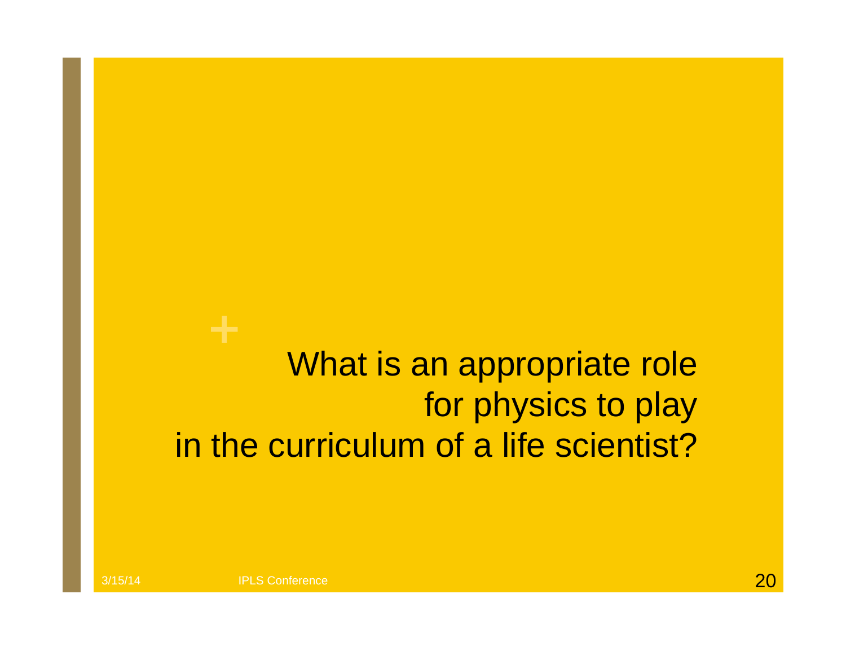#### What is an appropriate role for physics to play in the curriculum of a life scientist?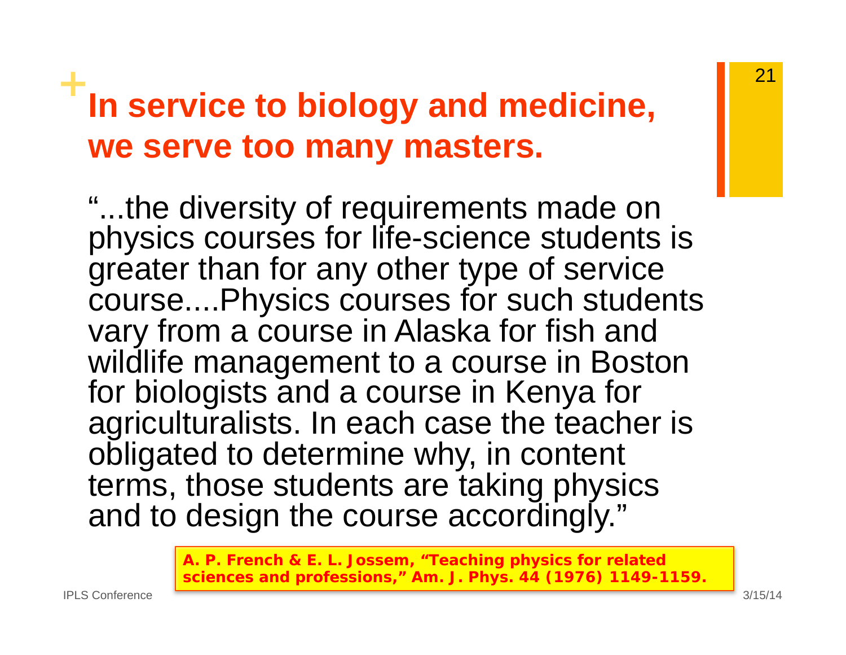#### **<sup>+</sup>In service to biology and medicine, we serve too many masters.**

"...the diversity of requirements made on physics courses for life-science students is greater than for any other type of service course....Physics courses for such students vary from a course in Alaska for fish and wildlife management to a course in Boston for biologists and a course in Kenya for agriculturalists. In each case the teacher is obligated to determine why, in content terms, those students are taking physics and to design the course accordingly."

> **A. P. French & E. L. Jossem, "Teaching physics for related sciences and professions," Am. J. Phys. 44 (1976) 1149-1159.**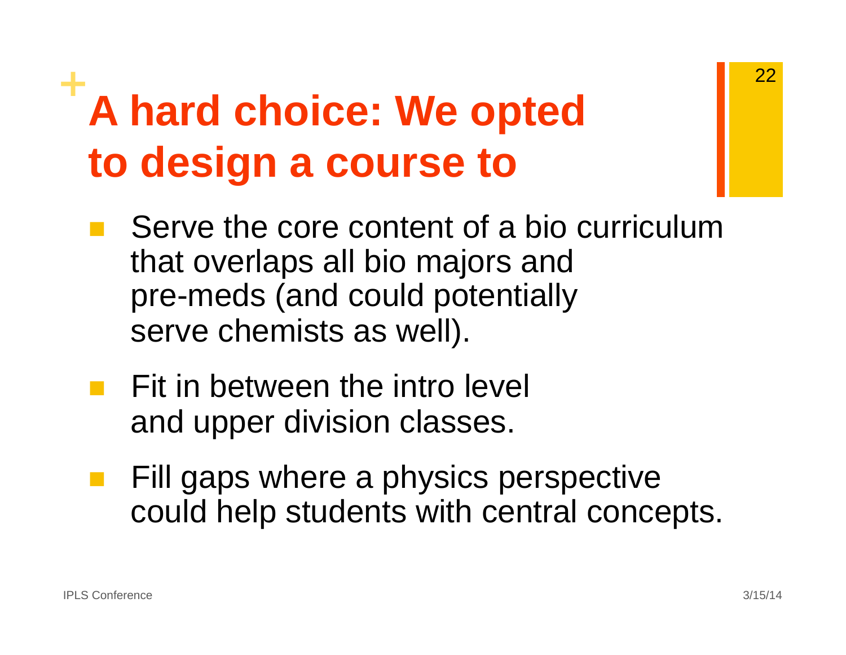### **<sup>+</sup>A hard choice: We opted to design a course to**

- Serve the core content of a bio curriculum that overlaps all bio majors and pre-meds (and could potentially serve chemists as well).
- Fit in between the intro level and upper division classes.
- Fill gaps where a physics perspective could help students with central concepts.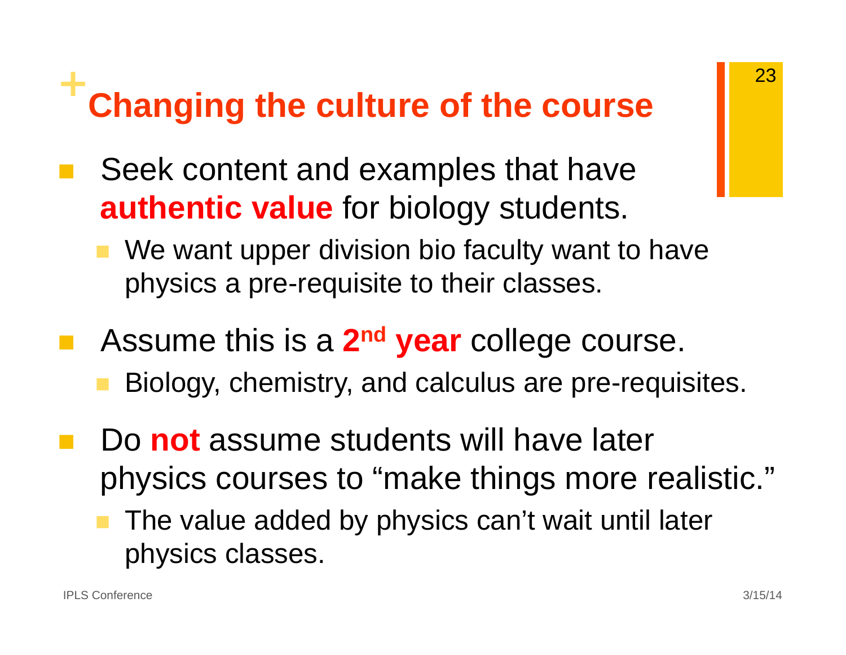#### **+Changing the culture of the course**

- Seek content and examples that have **authentic value** for biology students.
	- We want upper division bio faculty want to have physics a pre-requisite to their classes.
- Assume this is a **2nd year** college course.
	- Biology, chemistry, and calculus are pre-requisites.
- Do **not** assume students will have later physics courses to "make things more realistic."
	- The value added by physics can't wait until later physics classes.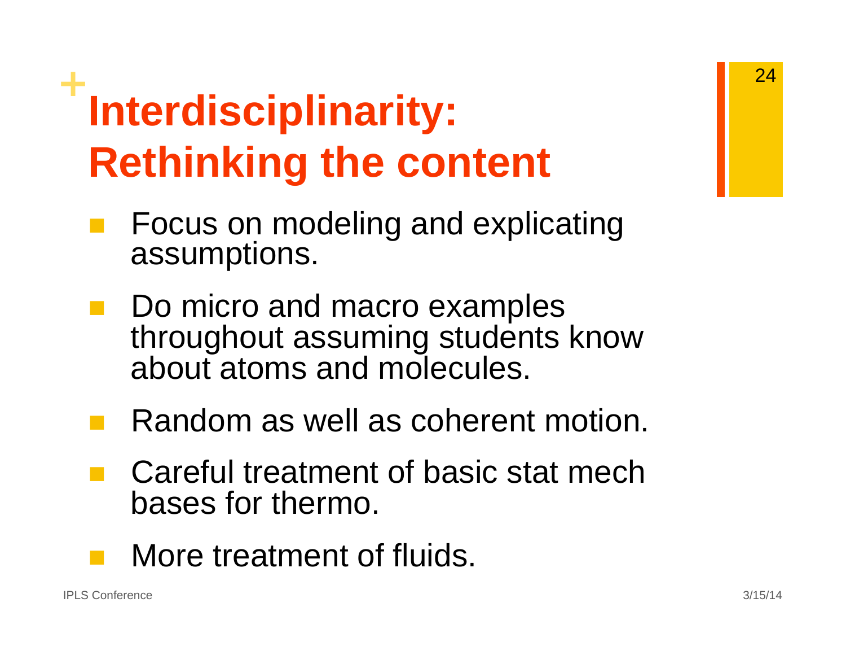## **<sup>+</sup>Interdisciplinarity: Rethinking the content**

- Focus on modeling and explicating assumptions.
- Do micro and macro examples throughout assuming students know about atoms and molecules.
- Random as well as coherent motion.
- Careful treatment of basic stat mech bases for thermo.
- $\mathcal{L}(\mathcal{A})$ More treatment of fluids.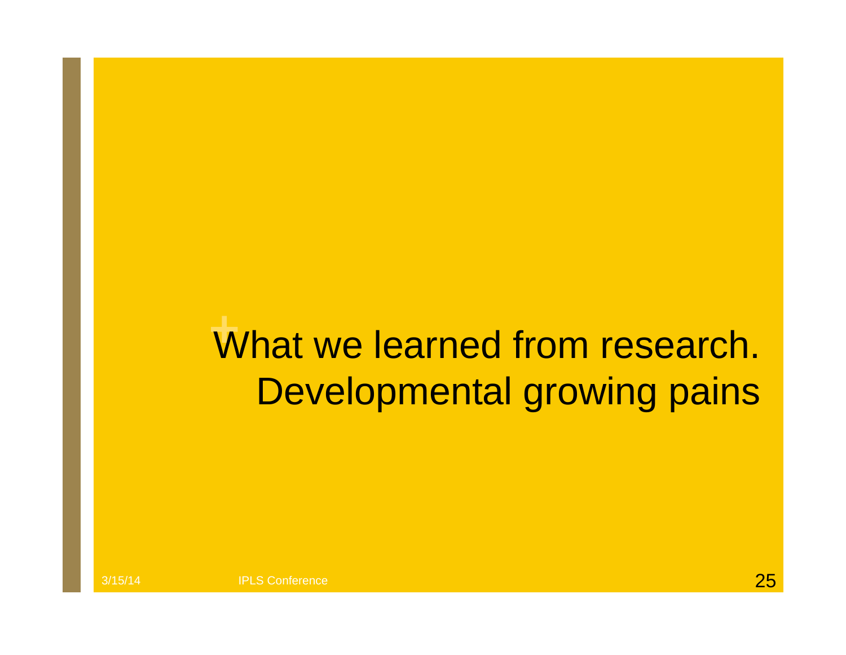#### What we learned from research. Developmental growing pains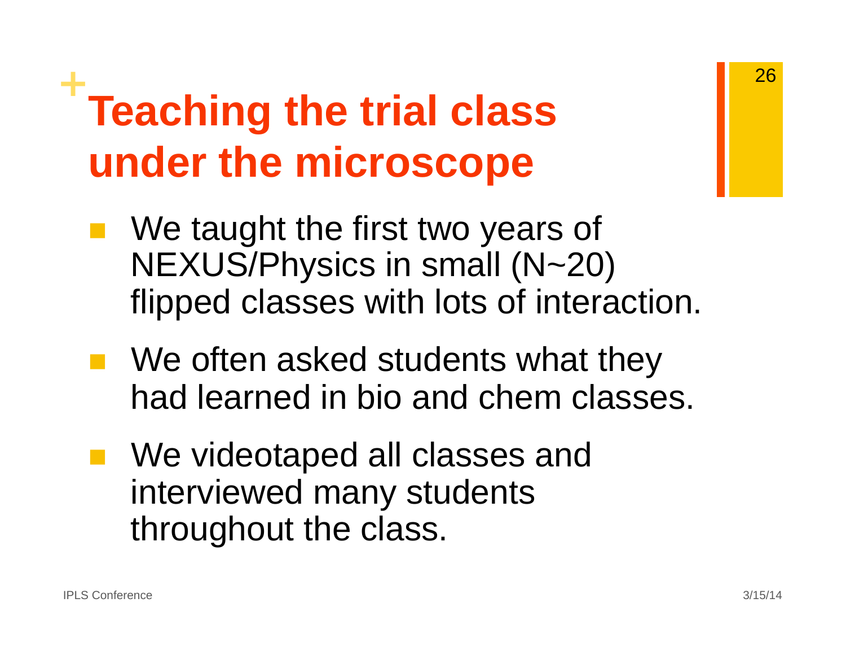### **<sup>+</sup>Teaching the trial class under the microscope**

- We taught the first two years of NEXUS/Physics in small (N~20) flipped classes with lots of interaction.
- **Ne often asked students what they** had learned in bio and chem classes.
	- We videotaped all classes and interviewed many students throughout the class.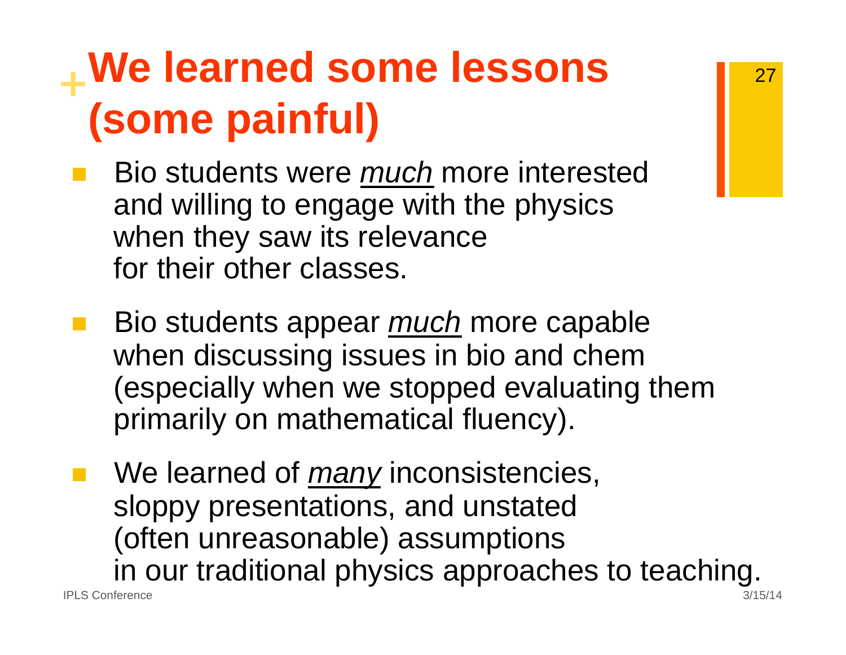### **<sup>+</sup>We learned some lessons (some painful)**

- Bio students were *much* more interested and willing to engage with the physics when they saw its relevance for their other classes.
- Bio students appear *much* more capable when discussing issues in bio and chem (especially when we stopped evaluating them primarily on mathematical fluency).
- We learned of *many* inconsistencies, sloppy presentations, and unstated (often unreasonable) assumptions in our traditional physics approaches to teaching.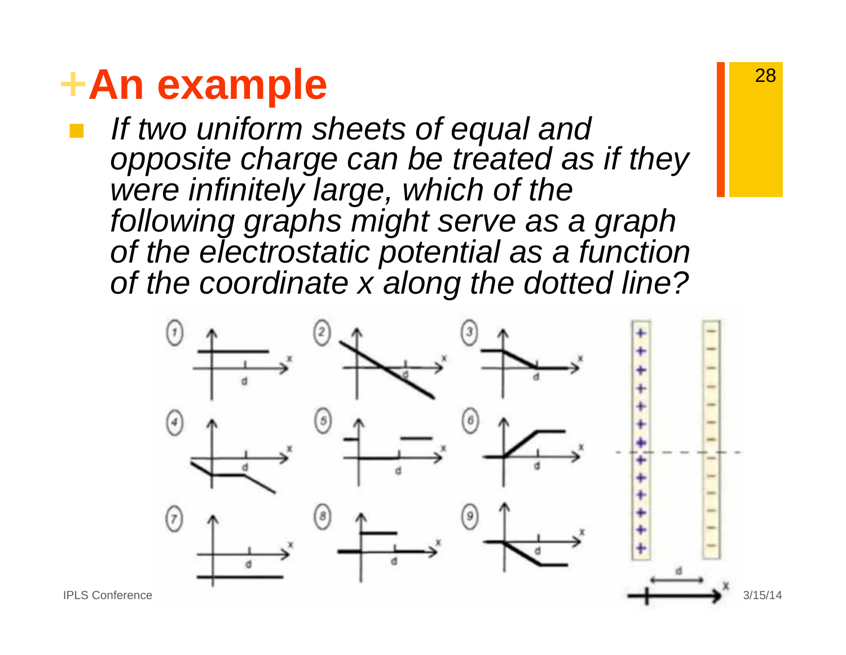#### **<sup>+</sup>An example**

 *If two uniform sheets of equal and opposite charge can be treated as if they were infinitely large, which of the following graphs might serve as a graph of the electrostatic potential as a function of the coordinate x along the dotted line?* 

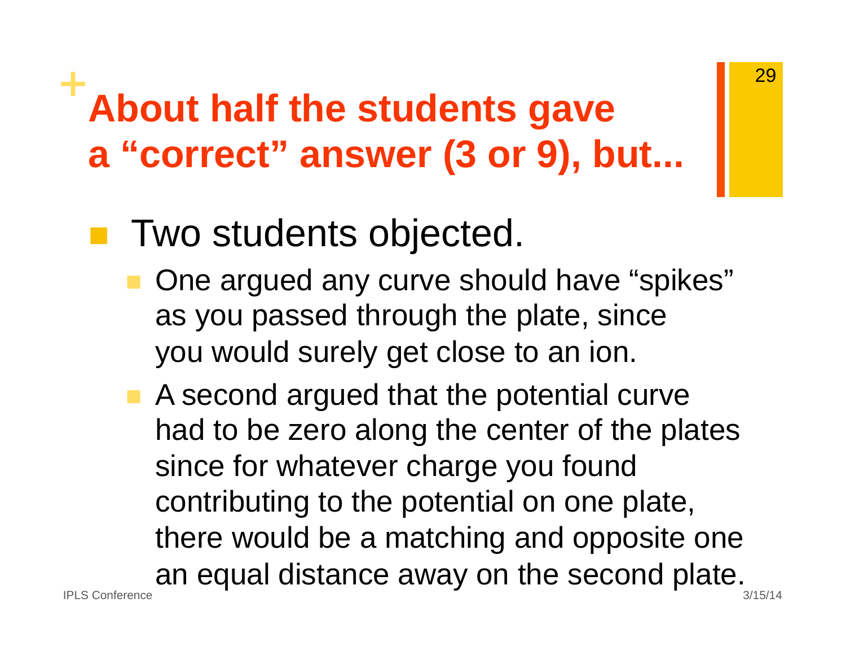### **<sup>+</sup>About half the students gave <sup>a</sup>"correct" answer (3 or 9), but...**

#### pin.<br>Ma **Two students objected.**

- One argued any curve should have "spikes" as you passed through the plate, since you would surely get close to an ion.
- A second argued that the potential curve had to be zero along the center of the plates since for whatever charge you found contributing to the potential on one plate, there would be a matching and opposite one an equal distance away on the second plate.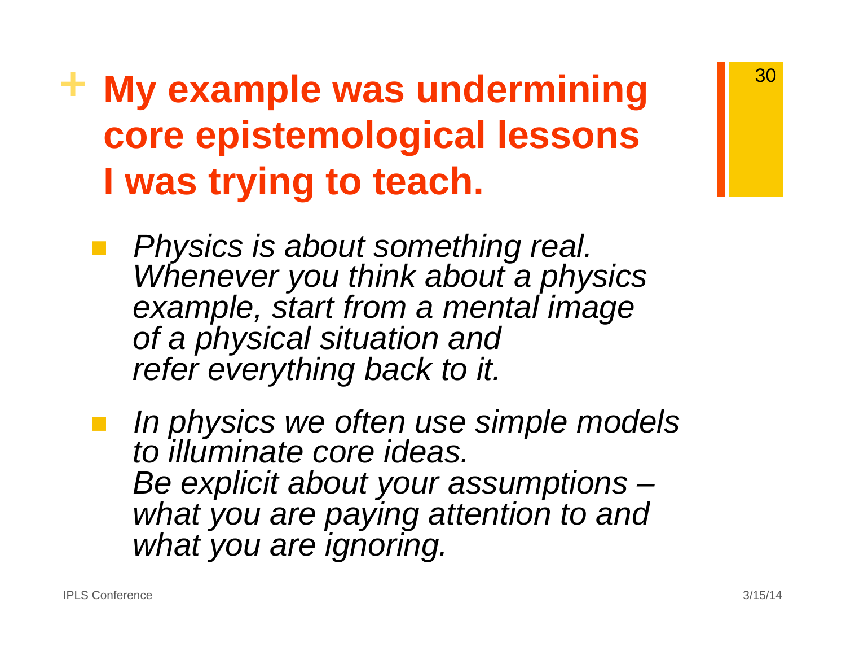#### **+ My example was undermining core epistemological lessons I was trying to teach.**

 *Physics is about something real. Whenever you think about a physics example, start from a mental image of a physical situation and refer everything back to it.* 

 *In physics we often use simple models to illuminate core ideas. Be explicit about your assumptions – what you are paying attention to and what you are ignoring.*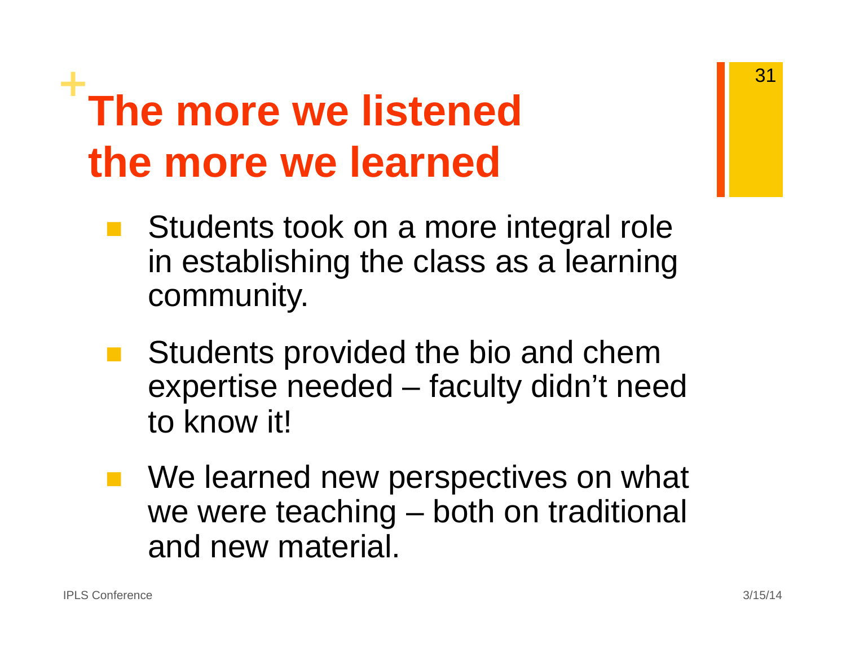### **<sup>+</sup>The more we listened the more we learned**

- Students took on a more integral role in establishing the class as a learning community.
- Students provided the bio and chem expertise needed – faculty didn't need to know it!
- We learned new perspectives on what we were teaching – both on traditional and new material.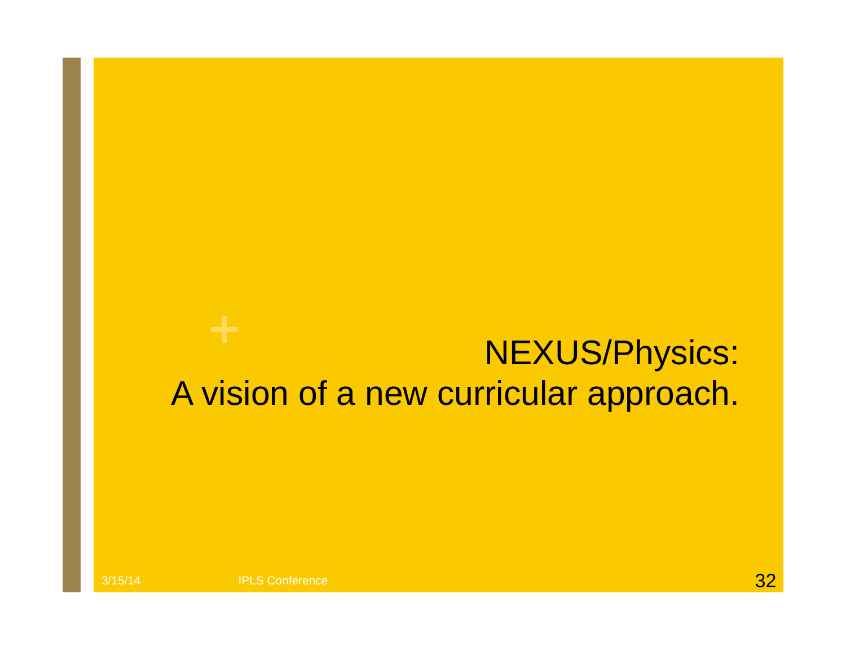#### NEXUS/Physics: A vision of a new curricular approach.

3/15/14 **IPLS Conference IPLS** Conference **3/15**/14 **3/2**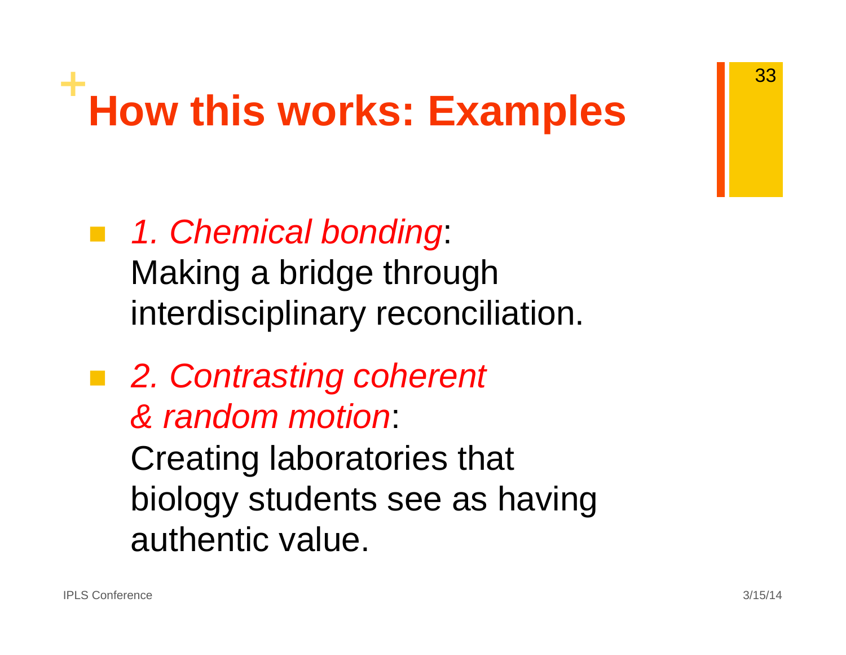# **<sup>+</sup>How this works: Examples**

- *1. Chemical bonding*: Making a bridge through interdisciplinary reconciliation.
- *2. Contrasting coherent & random motion*: Creating laboratories that biology students see as having authentic value.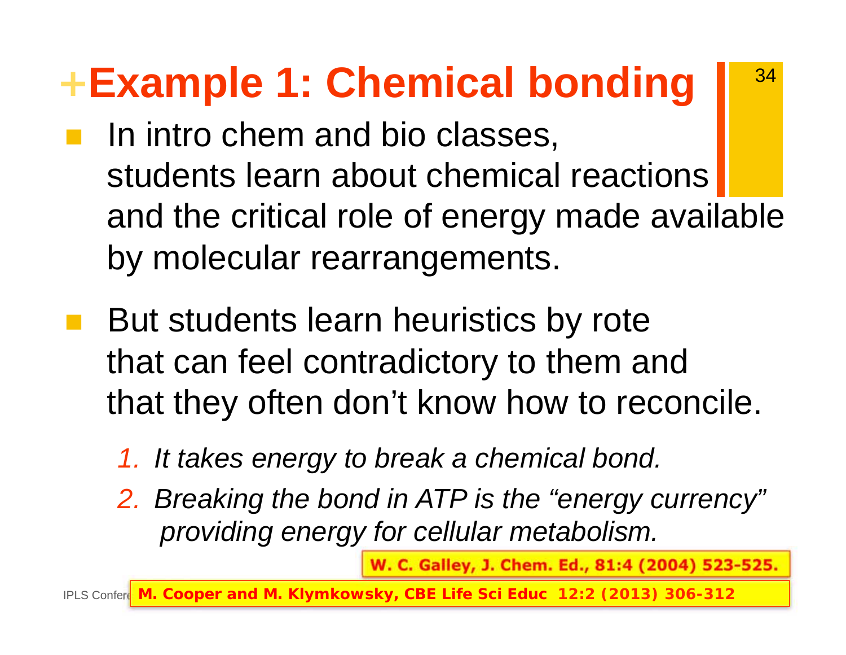### **<sup>+</sup>Example 1: Chemical bonding**

- In intro chem and bio classes, students learn about chemical reactions and the critical role of energy made available by molecular rearrangements.
- But students learn heuristics by rote that can feel contradictory to them and that they often don't know how to reconcile.
	- *1. It takes energy to break a chemical bond.*
	- *2. Breaking the bond in ATP is the "energy currency" providing energy for cellular metabolism.*

**W. C. Galley, J. Chem. Ed., 81:4 (2004) 523-525.** 

34

lPLS Confere<mark>l M. Cooper and M. Klymkowsky, *CBE Life Sci Educ* <code>12:2</code> (2013) 306-312  $\blacksquare$ </mark>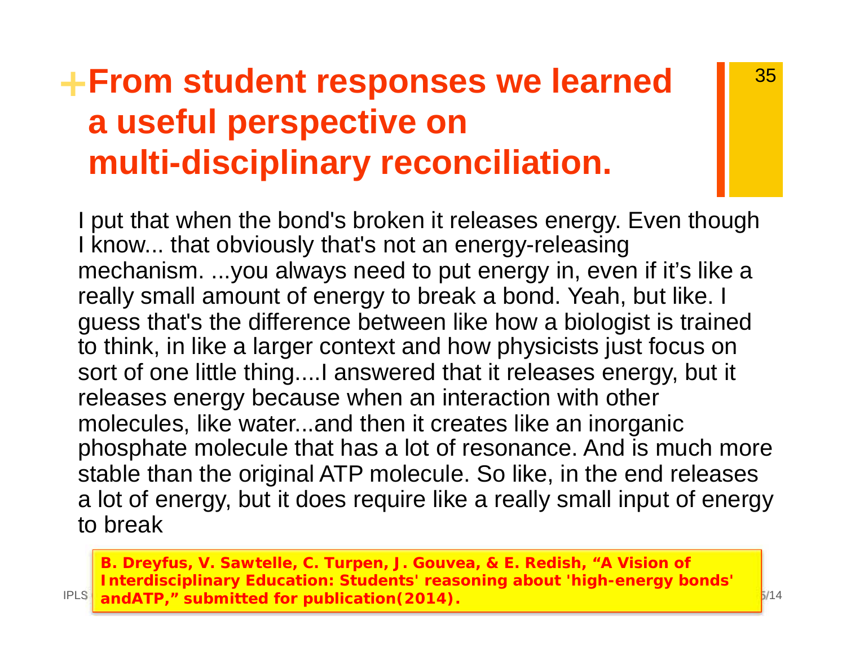#### **<sup>+</sup>From student responses we learned a useful perspective on multi-disciplinary reconciliation.**

I put that when the bond's broken it releases energy. Even though I know... that obviously that's not an energy-releasing mechanism. ...you always need to put energy in, even if it's like a really small amount of energy to break a bond. Yeah, but like. I guess that's the difference between like how a biologist is trained to think, in like a larger context and how physicists just focus on sort of one little thing....I answered that it releases energy, but it releases energy because when an interaction with other molecules, like water...and then it creates like an inorganic phosphate molecule that has a lot of resonance. And is much more stable than the original ATP molecule. So like, in the end releases a lot of energy, but it does require like a really small input of energy to break

IPLS Conference 3/15/14 **andATP," submitted for publication(2014). B. Dreyfus, V. Sawtelle, C. Turpen, J. Gouvea, & E. Redish, "A Vision of Interdisciplinary Education: Students' reasoning about 'high-energy bonds'**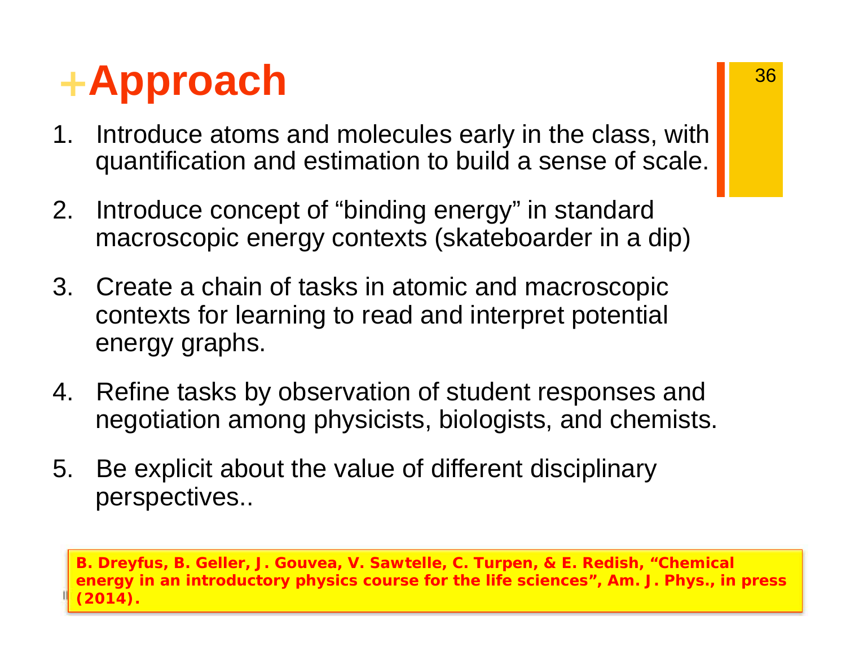### **<sup>+</sup>Approach**

- 1. Introduce atoms and molecules early in the class, with quantification and estimation to build a sense of scale.
- 2. Introduce concept of "binding energy" in standard macroscopic energy contexts (skateboarder in a dip)
- 3. Create a chain of tasks in atomic and macroscopic contexts for learning to read and interpret potential energy graphs.
- 4. Refine tasks by observation of student responses and negotiation among physicists, biologists, and chemists.
- 5. Be explicit about the value of different disciplinary perspectives..

 $\Gamma$ (2014)  $\Gamma$ **B. Dreyfus, B. Geller, J. Gouvea, V. Sawtelle, C. Turpen, & E. Redish, "Chemical energy in an introductory physics course for the life sciences", Am. J. Phys., in press (2014).**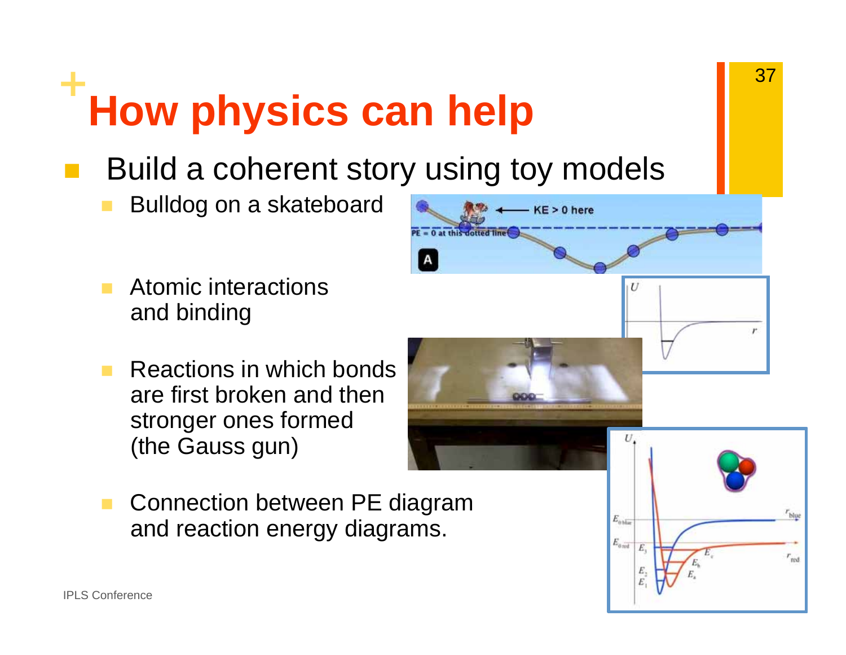# **<sup>+</sup>How physics can help**

- Build a coherent story using toy models
	- Bulldog on a skateboard
	- Atomic interactions and binding
	- Reactions in which bonds are first broken and then stronger ones formed (the Gauss gun)
	- Connection between PE diagram and reaction energy diagrams.

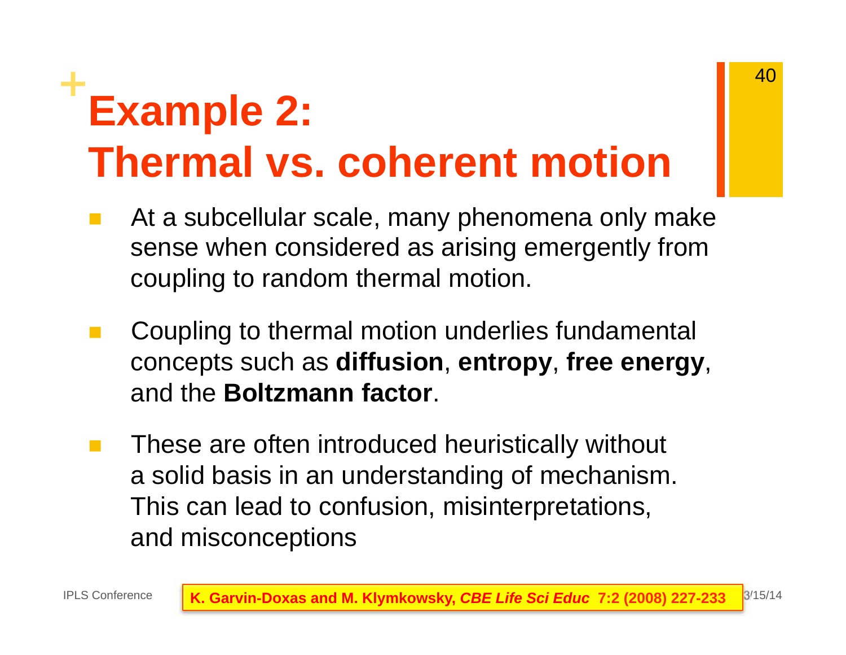## **<sup>+</sup>Example 2: Thermal vs. coherent motion**

- At a subcellular scale, many phenomena only make sense when considered as arising emergently from coupling to random thermal motion.
- p. Coupling to thermal motion underlies fundamental concepts such as **diffusion**, **entropy**, **free energy**, and the **Boltzmann factor**.
- These are often introduced heuristically without a solid basis in an understanding of mechanism. This can lead to confusion, misinterpretations, and misconceptions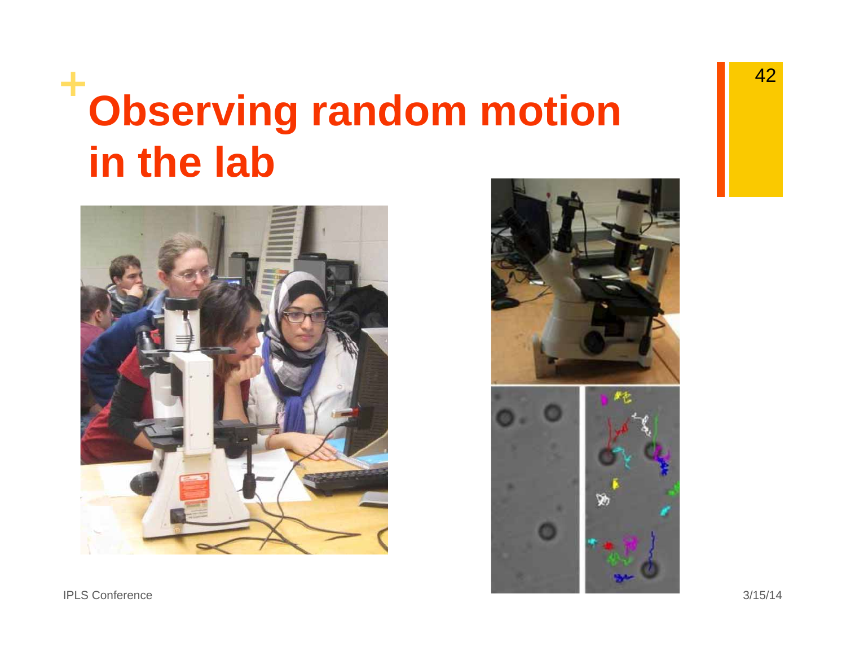# **<sup>+</sup>Observing random motion in the lab**



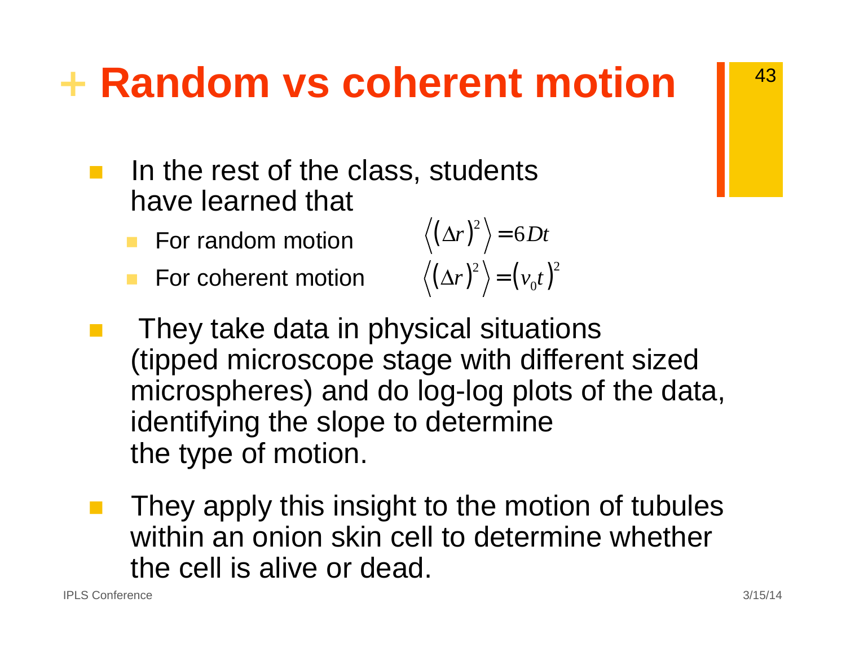### **<sup>+</sup> Random vs coherent motion**

- $\mathcal{L}^{\text{max}}$  In the rest of the class, students have learned that  $\left\langle \frac{1}{2} \right\rangle$   $\left\langle \frac{1}{2} \right\rangle$ 
	- **For random motion**
	- **For coherent motion**

$$
\langle (\Delta r) \rangle = 6Dt
$$

$$
\langle (\Delta r)^2 \rangle = (v_0 t)^2
$$

- **They take data in physical situations** (tipped microscope stage with different sized microspheres) and do log-log plots of the data, identifying the slope to determine the type of motion.
- They apply this insight to the motion of tubules within an onion skin cell to determine whether the cell is alive or dead.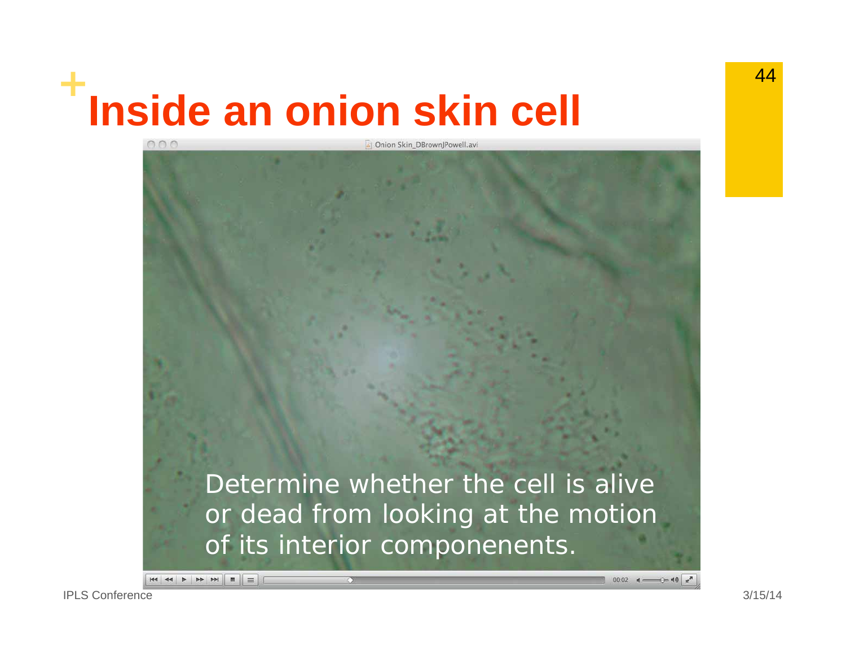# **<sup>+</sup>Inside an onion skin cell**

*Determine whether the cell is alive or dead from looking at the motion of its interior componenents.* 

Onion Skin DBrown Powell, avi

 $00:02$  d  $\longrightarrow$  0  $40$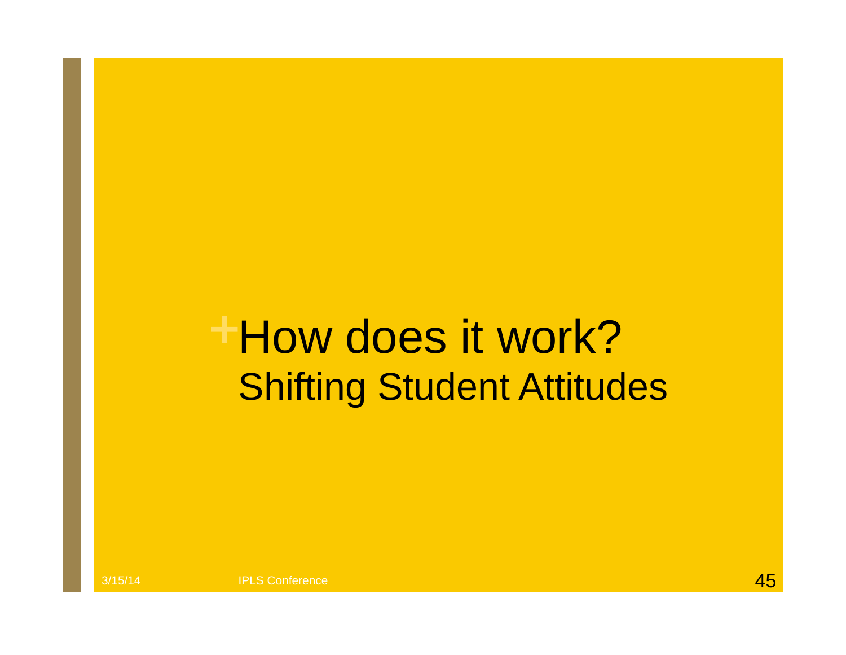#### **<sup>+</sup>**How does it work? Shifting Student Attitudes

3/15/14 **IPLS Conference IPLS Conference 1999 1999 1999 1999 1999 1999 1999 45**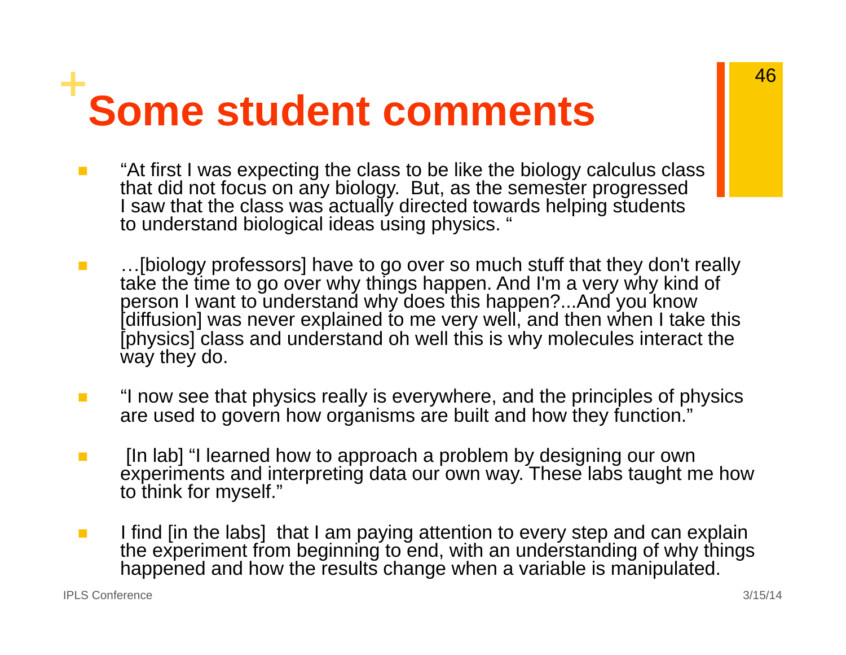# **<sup>+</sup>Some student comments**

- $\mathcal{L}_{\mathcal{A}}$  "At first I was expecting the class to be like the biology calculus class that did not focus on any biology. But, as the semester progressed I saw that the class was actually directed towards helping students to understand biological ideas using physics. "
- $\mathcal{L}_{\mathcal{A}}$ ...[biology professors] have to go over so much stuff that they don't really take the time to go over why things happen. And I'm a very why kind of person I want to understand why does this happen?...And you know [diffusion] was never explained to me very well, and then when I take this [physics] class and understand oh well this is why molecules interact the way they do.
- **College**  "I now see that physics really is everywhere, and the principles of physics are used to govern how organisms are built and how they function."
- **EXECT** [In lab] "I learned how to approach a problem by designing our own experiments and interpreting data our own way. These labs taught me how to think for myself."
- $\mathcal{L}^{\mathcal{L}}$  I find [in the labs] that I am paying attention to every step and can explain the experiment from beginning to end, with an understanding of why things happened and how the results change when a variable is manipulated.